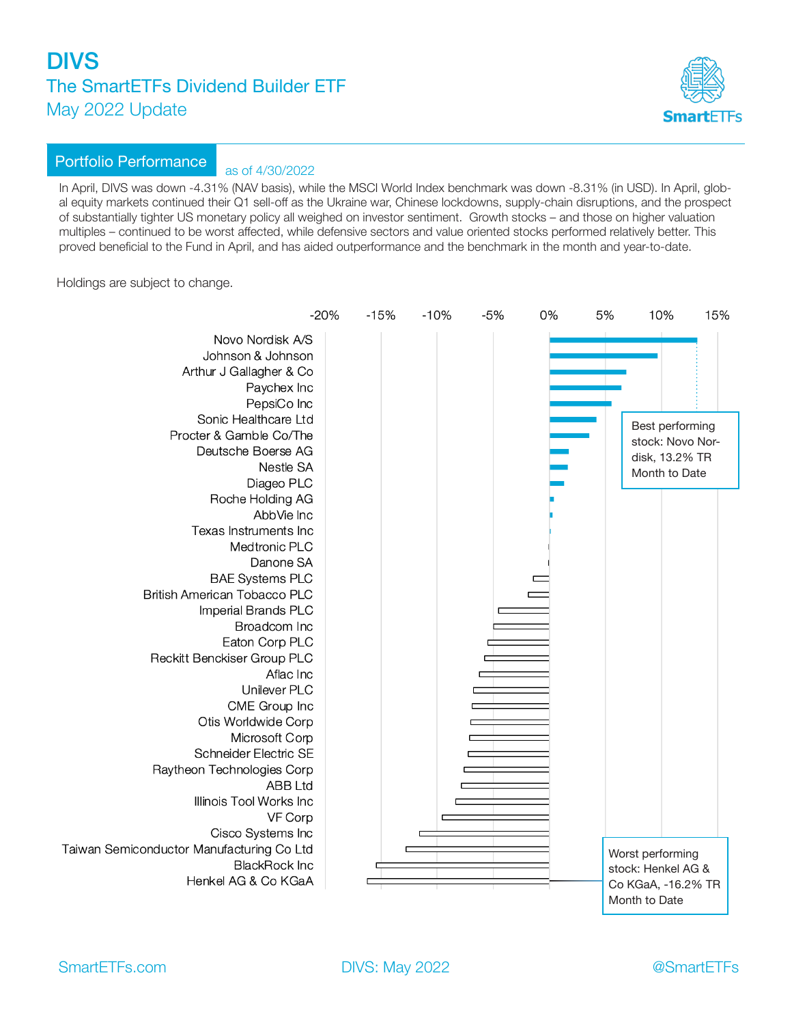

### Portfolio Performance as of 4/30/2022

In April, DIVS was down -4.31% (NAV basis), while the MSCI World Index benchmark was down -8.31% (in USD). In April, global equity markets continued their Q1 sell-off as the Ukraine war, Chinese lockdowns, supply-chain disruptions, and the prospect of substantially tighter US monetary policy all weighed on investor sentiment. Growth stocks – and those on higher valuation multiples – continued to be worst affected, while defensive sectors and value oriented stocks performed relatively better. This proved beneficial to the Fund in April, and has aided outperformance and the benchmark in the month and year-to-date.

Holdings are subject to change.

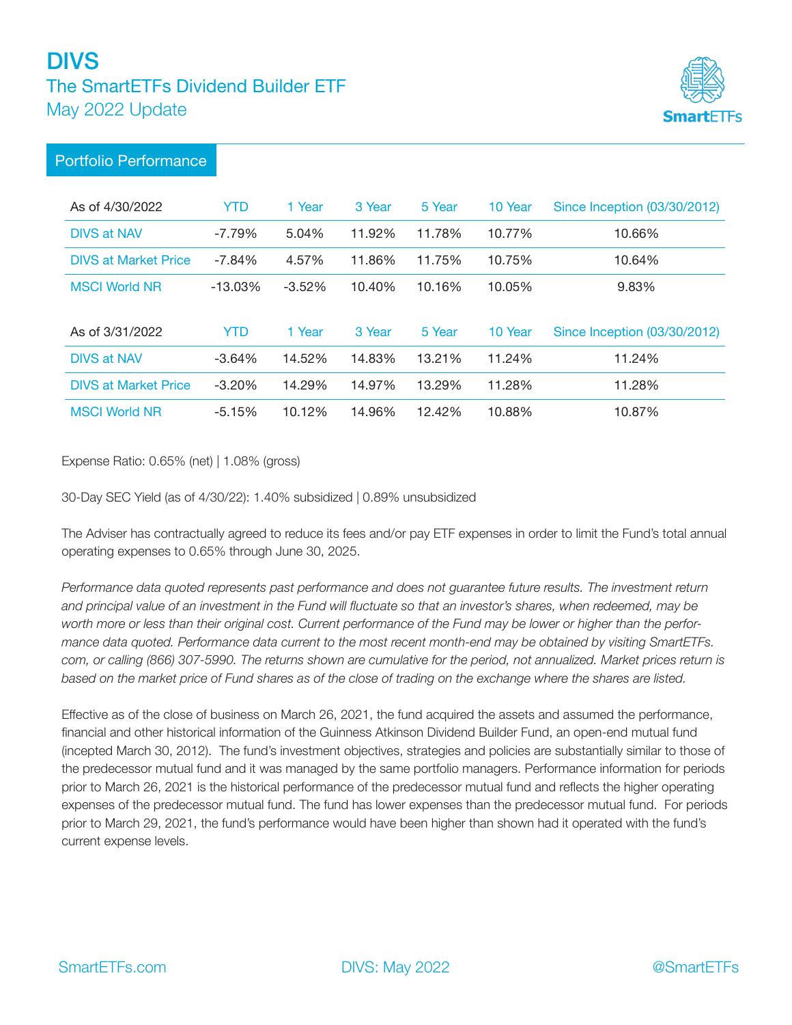

### Portfolio Performance

| As of 4/30/2022             | YTD        | 1 Year    | 3 Year | 5 Year | 10 Year | Since Inception (03/30/2012) |
|-----------------------------|------------|-----------|--------|--------|---------|------------------------------|
| <b>DIVS at NAV</b>          | $-7.79\%$  | 5.04%     | 11.92% | 11.78% | 10.77%  | 10.66%                       |
| <b>DIVS at Market Price</b> | $-7.84%$   | 4.57%     | 11.86% | 11.75% | 10.75%  | 10.64%                       |
| <b>MSCI World NR</b>        | $-13.03\%$ | $-3.52\%$ | 10.40% | 10.16% | 10.05%  | 9.83%                        |
|                             |            |           |        |        |         |                              |
| As of 3/31/2022             |            |           |        |        |         |                              |
|                             | YTD        | 1 Year    | 3 Year | 5 Year | 10 Year | Since Inception (03/30/2012) |
| <b>DIVS at NAV</b>          | $-3.64%$   | 14.52%    | 14.83% | 13.21% | 11.24%  | 11.24%                       |
| <b>DIVS at Market Price</b> | $-3.20%$   | 14.29%    | 14.97% | 13.29% | 11.28%  | 11.28%                       |

Expense Ratio: 0.65% (net) | 1.08% (gross)

30-Day SEC Yield (as of 4/30/22): 1.40% subsidized | 0.89% unsubsidized

The Adviser has contractually agreed to reduce its fees and/or pay ETF expenses in order to limit the Fund's total annual operating expenses to 0.65% through June 30, 2025.

*Performance data quoted represents past performance and does not guarantee future results. The investment return and principal value of an investment in the Fund will fluctuate so that an investor's shares, when redeemed, may be worth more or less than their original cost. Current performance of the Fund may be lower or higher than the performance data quoted. Performance data current to the most recent month-end may be obtained by visiting SmartETFs. com, or calling (866) 307-5990. The returns shown are cumulative for the period, not annualized. Market prices return is based on the market price of Fund shares as of the close of trading on the exchange where the shares are listed.* 

Effective as of the close of business on March 26, 2021, the fund acquired the assets and assumed the performance, financial and other historical information of the Guinness Atkinson Dividend Builder Fund, an open-end mutual fund (incepted March 30, 2012). The fund's investment objectives, strategies and policies are substantially similar to those of the predecessor mutual fund and it was managed by the same portfolio managers. Performance information for periods prior to March 26, 2021 is the historical performance of the predecessor mutual fund and reflects the higher operating expenses of the predecessor mutual fund. The fund has lower expenses than the predecessor mutual fund. For periods prior to March 29, 2021, the fund's performance would have been higher than shown had it operated with the fund's current expense levels.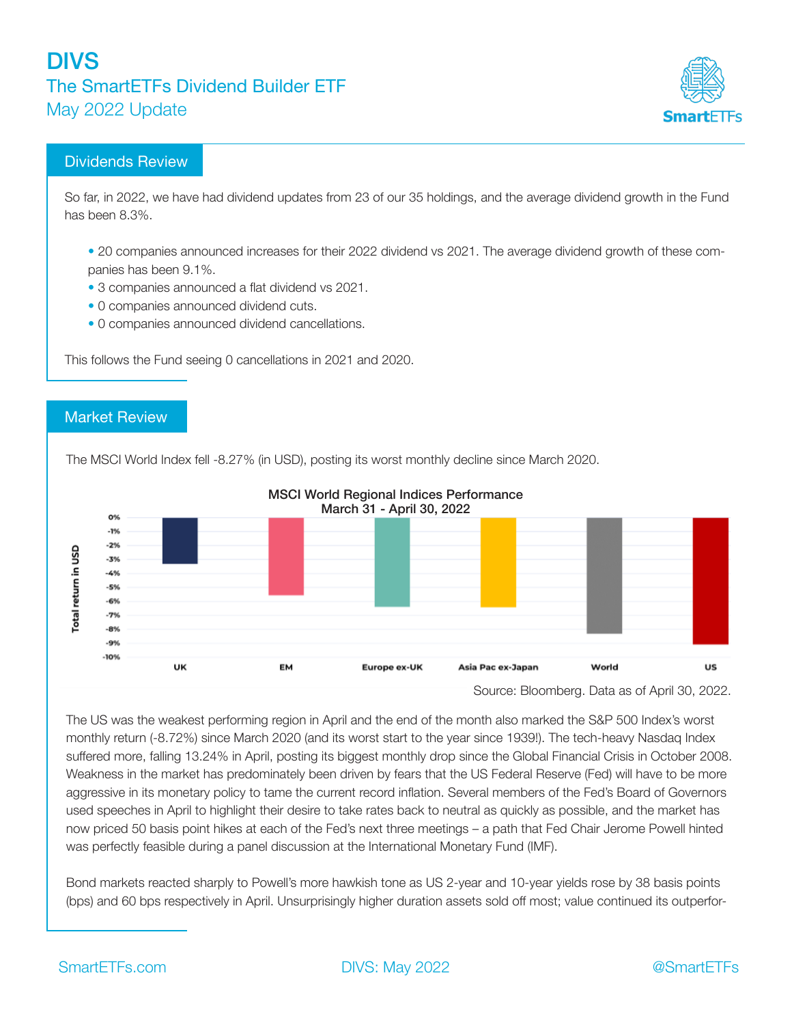

### Dividends Review

So far, in 2022, we have had dividend updates from 23 of our 35 holdings, and the average dividend growth in the Fund has been 8.3%.

- 20 companies announced increases for their 2022 dividend vs 2021. The average dividend growth of these companies has been 9.1%.
- 3 companies announced a flat dividend vs 2021.
- 0 companies announced dividend cuts.
- 0 companies announced dividend cancellations.

This follows the Fund seeing 0 cancellations in 2021 and 2020.

#### Market Review

The MSCI World Index fell -8.27% (in USD), posting its worst monthly decline since March 2020.



#### MSCI World Regional Indices Performance March 31 - April 30, 2022

Source: Bloomberg. Data as of April 30, 2022.

The US was the weakest performing region in April and the end of the month also marked the S&P 500 Index's worst monthly return (-8.72%) since March 2020 (and its worst start to the year since 1939!). The tech-heavy Nasdaq Index suffered more, falling 13.24% in April, posting its biggest monthly drop since the Global Financial Crisis in October 2008. Weakness in the market has predominately been driven by fears that the US Federal Reserve (Fed) will have to be more aggressive in its monetary policy to tame the current record inflation. Several members of the Fed's Board of Governors used speeches in April to highlight their desire to take rates back to neutral as quickly as possible, and the market has now priced 50 basis point hikes at each of the Fed's next three meetings – a path that Fed Chair Jerome Powell hinted was perfectly feasible during a panel discussion at the International Monetary Fund (IMF).

Bond markets reacted sharply to Powell's more hawkish tone as US 2-year and 10-year yields rose by 38 basis points (bps) and 60 bps respectively in April. Unsurprisingly higher duration assets sold off most; value continued its outperfor-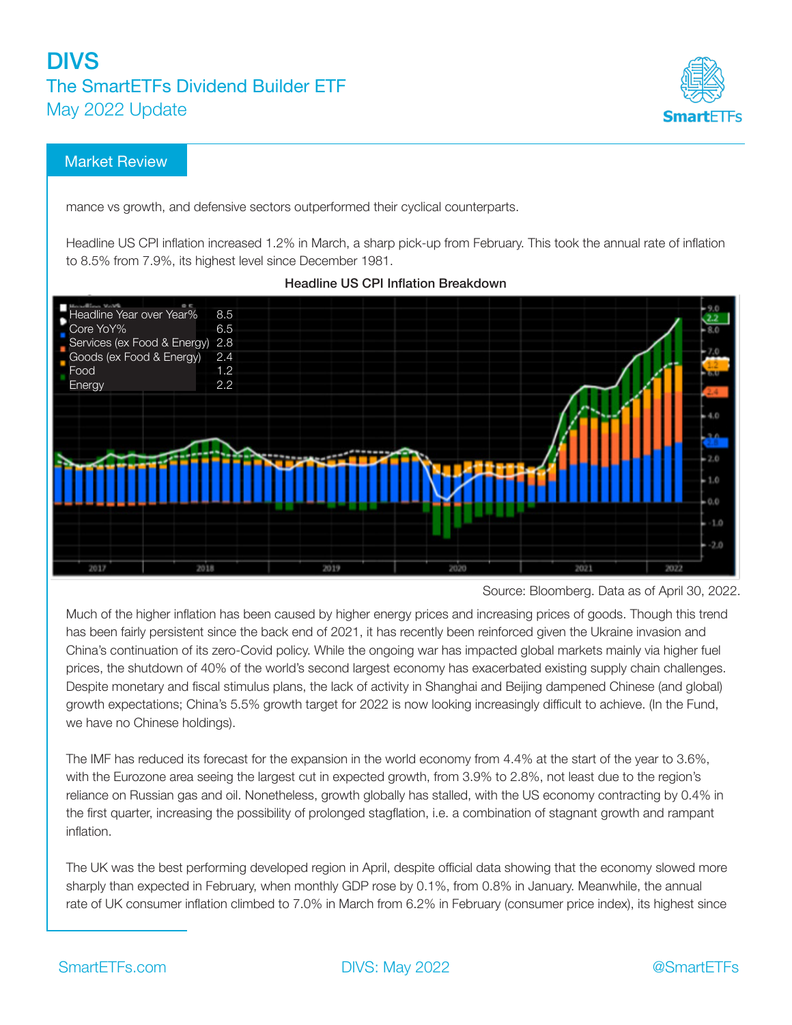

### Market Review

mance vs growth, and defensive sectors outperformed their cyclical counterparts.

Headline US CPI inflation increased 1.2% in March, a sharp pick-up from February. This took the annual rate of inflation to 8.5% from 7.9%, its highest level since December 1981.



Headline US CPI Inflation Breakdown

Much of the higher inflation has been caused by higher energy prices and increasing prices of goods. Though this trend has been fairly persistent since the back end of 2021, it has recently been reinforced given the Ukraine invasion and China's continuation of its zero-Covid policy. While the ongoing war has impacted global markets mainly via higher fuel prices, the shutdown of 40% of the world's second largest economy has exacerbated existing supply chain challenges. Despite monetary and fiscal stimulus plans, the lack of activity in Shanghai and Beijing dampened Chinese (and global) growth expectations; China's 5.5% growth target for 2022 is now looking increasingly difficult to achieve. (In the Fund, we have no Chinese holdings).

The IMF has reduced its forecast for the expansion in the world economy from 4.4% at the start of the year to 3.6%, with the Eurozone area seeing the largest cut in expected growth, from 3.9% to 2.8%, not least due to the region's reliance on Russian gas and oil. Nonetheless, growth globally has stalled, with the US economy contracting by 0.4% in the first quarter, increasing the possibility of prolonged stagflation, i.e. a combination of stagnant growth and rampant inflation.

The UK was the best performing developed region in April, despite official data showing that the economy slowed more sharply than expected in February, when monthly GDP rose by 0.1%, from 0.8% in January. Meanwhile, the annual rate of UK consumer inflation climbed to 7.0% in March from 6.2% in February (consumer price index), its highest since

Source: Bloomberg. Data as of April 30, 2022.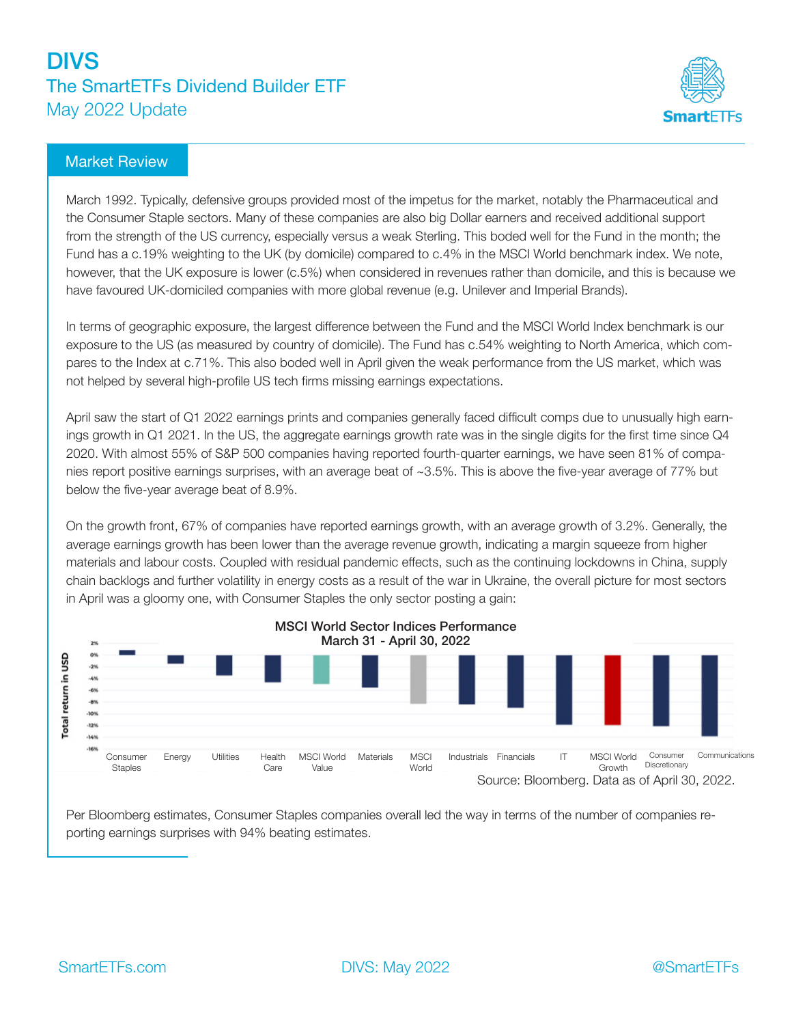

#### Market Review

March 1992. Typically, defensive groups provided most of the impetus for the market, notably the Pharmaceutical and the Consumer Staple sectors. Many of these companies are also big Dollar earners and received additional support from the strength of the US currency, especially versus a weak Sterling. This boded well for the Fund in the month; the Fund has a c.19% weighting to the UK (by domicile) compared to c.4% in the MSCI World benchmark index. We note, however, that the UK exposure is lower (c.5%) when considered in revenues rather than domicile, and this is because we have favoured UK-domiciled companies with more global revenue (e.g. Unilever and Imperial Brands).

In terms of geographic exposure, the largest difference between the Fund and the MSCI World Index benchmark is our exposure to the US (as measured by country of domicile). The Fund has c.54% weighting to North America, which compares to the Index at c.71%. This also boded well in April given the weak performance from the US market, which was not helped by several high-profile US tech firms missing earnings expectations.

April saw the start of Q1 2022 earnings prints and companies generally faced difficult comps due to unusually high earnings growth in Q1 2021. In the US, the aggregate earnings growth rate was in the single digits for the first time since Q4 2020. With almost 55% of S&P 500 companies having reported fourth-quarter earnings, we have seen 81% of companies report positive earnings surprises, with an average beat of ~3.5%. This is above the five-year average of 77% but below the five-year average beat of 8.9%.

On the growth front, 67% of companies have reported earnings growth, with an average growth of 3.2%. Generally, the average earnings growth has been lower than the average revenue growth, indicating a margin squeeze from higher materials and labour costs. Coupled with residual pandemic effects, such as the continuing lockdowns in China, supply chain backlogs and further volatility in energy costs as a result of the war in Ukraine, the overall picture for most sectors in April was a gloomy one, with Consumer Staples the only sector posting a gain:



Per Bloomberg estimates, Consumer Staples companies overall led the way in terms of the number of companies reporting earnings surprises with 94% beating estimates.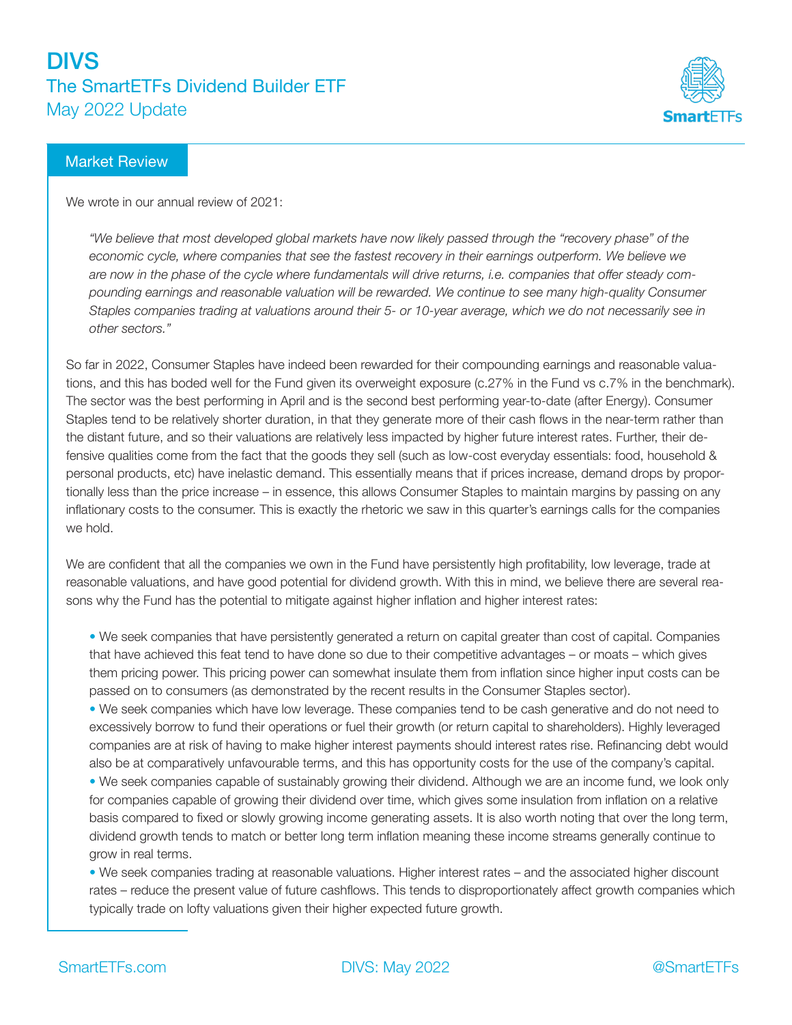

#### Market Review

We wrote in our annual review of 2021:

*"We believe that most developed global markets have now likely passed through the "recovery phase" of the economic cycle, where companies that see the fastest recovery in their earnings outperform. We believe we are now in the phase of the cycle where fundamentals will drive returns, i.e. companies that offer steady compounding earnings and reasonable valuation will be rewarded. We continue to see many high-quality Consumer Staples companies trading at valuations around their 5- or 10-year average, which we do not necessarily see in other sectors."*

So far in 2022, Consumer Staples have indeed been rewarded for their compounding earnings and reasonable valuations, and this has boded well for the Fund given its overweight exposure (c.27% in the Fund vs c.7% in the benchmark). The sector was the best performing in April and is the second best performing year-to-date (after Energy). Consumer Staples tend to be relatively shorter duration, in that they generate more of their cash flows in the near-term rather than the distant future, and so their valuations are relatively less impacted by higher future interest rates. Further, their defensive qualities come from the fact that the goods they sell (such as low-cost everyday essentials: food, household & personal products, etc) have inelastic demand. This essentially means that if prices increase, demand drops by proportionally less than the price increase – in essence, this allows Consumer Staples to maintain margins by passing on any inflationary costs to the consumer. This is exactly the rhetoric we saw in this quarter's earnings calls for the companies we hold.

We are confident that all the companies we own in the Fund have persistently high profitability, low leverage, trade at reasonable valuations, and have good potential for dividend growth. With this in mind, we believe there are several reasons why the Fund has the potential to mitigate against higher inflation and higher interest rates:

• We seek companies that have persistently generated a return on capital greater than cost of capital. Companies that have achieved this feat tend to have done so due to their competitive advantages – or moats – which gives them pricing power. This pricing power can somewhat insulate them from inflation since higher input costs can be passed on to consumers (as demonstrated by the recent results in the Consumer Staples sector).

• We seek companies which have low leverage. These companies tend to be cash generative and do not need to excessively borrow to fund their operations or fuel their growth (or return capital to shareholders). Highly leveraged companies are at risk of having to make higher interest payments should interest rates rise. Refinancing debt would also be at comparatively unfavourable terms, and this has opportunity costs for the use of the company's capital.

• We seek companies capable of sustainably growing their dividend. Although we are an income fund, we look only for companies capable of growing their dividend over time, which gives some insulation from inflation on a relative basis compared to fixed or slowly growing income generating assets. It is also worth noting that over the long term, dividend growth tends to match or better long term inflation meaning these income streams generally continue to grow in real terms.

• We seek companies trading at reasonable valuations. Higher interest rates – and the associated higher discount rates – reduce the present value of future cashflows. This tends to disproportionately affect growth companies which typically trade on lofty valuations given their higher expected future growth.